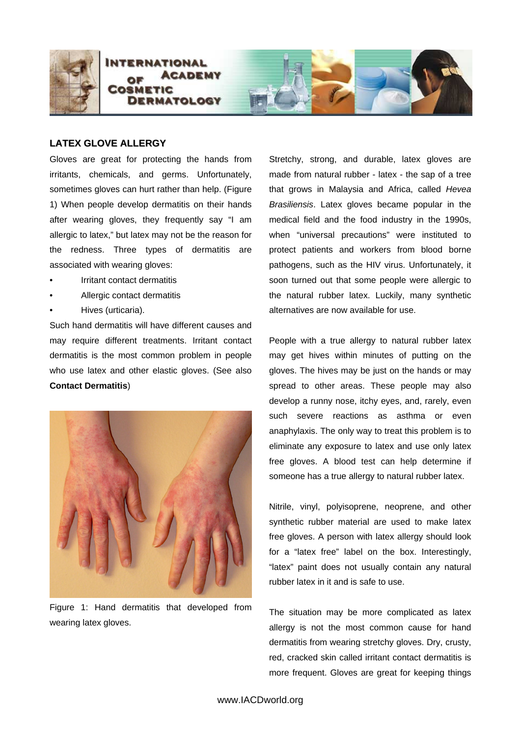

## **LATEX GLOVE ALLERGY**

Gloves are great for protecting the hands from irritants, chemicals, and germs. Unfortunately, sometimes gloves can hurt rather than help. (Figure 1) When people develop dermatitis on their hands after wearing gloves, they frequently say "I am allergic to latex," but latex may not be the reason for the redness. Three types of dermatitis are associated with wearing gloves:

- Irritant contact dermatitis
- Allergic contact dermatitis
- Hives (urticaria).

Such hand dermatitis will have different causes and may require different treatments. Irritant contact dermatitis is the most common problem in people who use latex and other elastic gloves. (See also **Contact Dermatitis**)



Figure 1: Hand dermatitis that developed from wearing latex gloves.

Stretchy, strong, and durable, latex gloves are made from natural rubber - latex - the sap of a tree that grows in Malaysia and Africa, called *Hevea Brasiliensis*. Latex gloves became popular in the medical field and the food industry in the 1990s, when "universal precautions" were instituted to protect patients and workers from blood borne pathogens, such as the HIV virus. Unfortunately, it soon turned out that some people were allergic to the natural rubber latex. Luckily, many synthetic alternatives are now available for use.

People with a true allergy to natural rubber latex may get hives within minutes of putting on the gloves. The hives may be just on the hands or may spread to other areas. These people may also develop a runny nose, itchy eyes, and, rarely, even such severe reactions as asthma or even anaphylaxis. The only way to treat this problem is to eliminate any exposure to latex and use only latex free gloves. A blood test can help determine if someone has a true allergy to natural rubber latex.

Nitrile, vinyl, polyisoprene, neoprene, and other synthetic rubber material are used to make latex free gloves. A person with latex allergy should look for a "latex free" label on the box. Interestingly, "latex" paint does not usually contain any natural rubber latex in it and is safe to use.

The situation may be more complicated as latex allergy is not the most common cause for hand dermatitis from wearing stretchy gloves. Dry, crusty, red, cracked skin called irritant contact dermatitis is more frequent. Gloves are great for keeping things